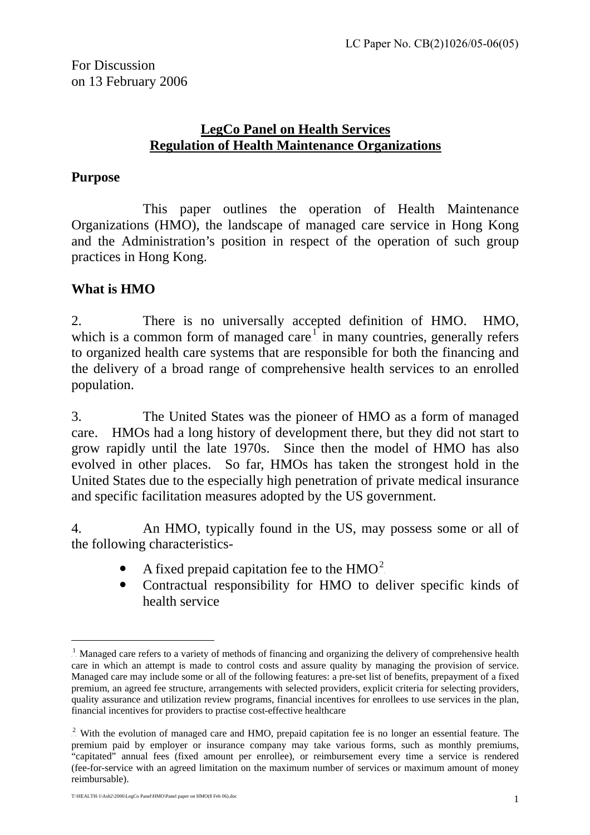## <sup>U</sup>**LegCo Panel on Health Services** <sup>U</sup>**Regulation of Health Maintenance Organizations**

### **Purpose**

This paper outlines the operation of Health Maintenance Organizations (HMO), the landscape of managed care service in Hong Kong and the Administration's position in respect of the operation of such group practices in Hong Kong.

# **What is HMO**

 $\overline{a}$ 

2. There is no universally accepted definition of HMO. HMO, which is a common form of managed care $\mathbf{F}$  in many countries, generally refers to organized health care systems that are responsible for both the financing and the delivery of a broad range of comprehensive health services to an enrolled population.

3. The United States was the pioneer of HMO as a form of managed care. HMOs had a long history of development there, but they did not start to grow rapidly until the late 1970s. Since then the model of HMO has also evolved in other places. So far, HMOs has taken the strongest hold in the United States due to the especially high penetration of private medical insurance and specific facilitation measures adopted by the US government.

4. An HMO, typically found in the US, may possess some or all of the following characteristics-

- A fixed prepaid capitation fee to the  $HMO<sup>2</sup>$  $HMO<sup>2</sup>$  $HMO<sup>2</sup>$ .
- Contractual responsibility for HMO to deliver specific kinds of health service

<span id="page-0-0"></span><sup>&</sup>lt;sup>1</sup>. Managed care refers to a variety of methods of financing and organizing the delivery of comprehensive health care in which an attempt is made to control costs and assure quality by managing the provision of service. Managed care may include some or all of the following features: a pre-set list of benefits, prepayment of a fixed premium, an agreed fee structure, arrangements with selected providers, explicit criteria for selecting providers, quality assurance and utilization review programs, financial incentives for enrollees to use services in the plan, financial incentives for providers to practise cost-effective healthcare

<span id="page-0-1"></span> $2$ . With the evolution of managed care and HMO, prepaid capitation fee is no longer an essential feature. The premium paid by employer or insurance company may take various forms, such as monthly premiums, "capitated" annual fees (fixed amount per enrollee), or reimbursement every time a service is rendered (fee-for-service with an agreed limitation on the maximum number of services or maximum amount of money reimbursable).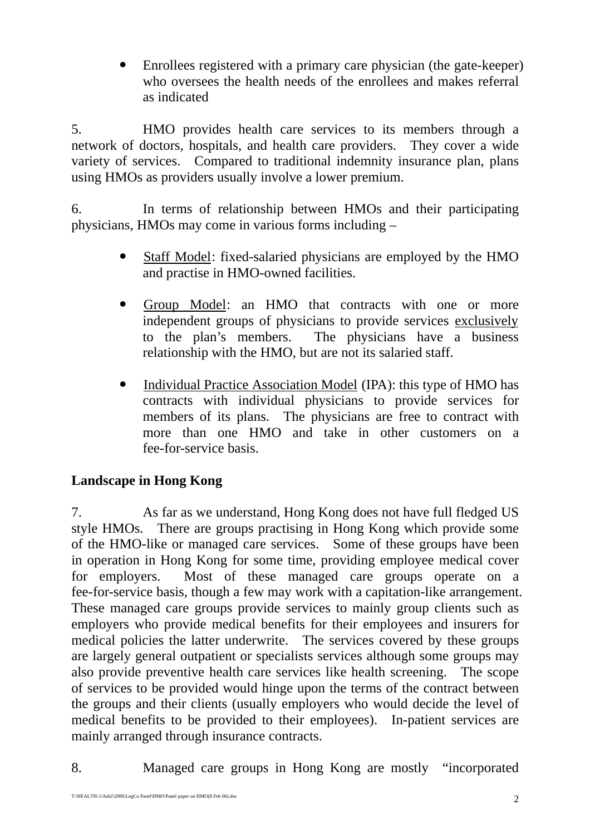Enrollees registered with a primary care physician (the gate-keeper) who oversees the health needs of the enrollees and makes referral as indicated

5. HMO provides health care services to its members through a network of doctors, hospitals, and health care providers. They cover a wide variety of services. Compared to traditional indemnity insurance plan, plans using HMOs as providers usually involve a lower premium.

6. In terms of relationship between HMOs and their participating physicians, HMOs may come in various forms including –

- Staff Model: fixed-salaried physicians are employed by the HMO and practise in HMO-owned facilities.
- Group Model: an HMO that contracts with one or more independent groups of physicians to provide services exclusively to the plan's members. The physicians have a business relationship with the HMO, but are not its salaried staff.
- Individual Practice Association Model (IPA): this type of HMO has contracts with individual physicians to provide services for members of its plans. The physicians are free to contract with more than one HMO and take in other customers on a fee-for-service basis.

# **Landscape in Hong Kong**

7. As far as we understand, Hong Kong does not have full fledged US style HMOs. There are groups practising in Hong Kong which provide some of the HMO-like or managed care services. Some of these groups have been in operation in Hong Kong for some time, providing employee medical cover for employers. Most of these managed care groups operate on a fee-for-service basis, though a few may work with a capitation-like arrangement. These managed care groups provide services to mainly group clients such as employers who provide medical benefits for their employees and insurers for medical policies the latter underwrite. The services covered by these groups are largely general outpatient or specialists services although some groups may also provide preventive health care services like health screening. The scope of services to be provided would hinge upon the terms of the contract between the groups and their clients (usually employers who would decide the level of medical benefits to be provided to their employees). In-patient services are mainly arranged through insurance contracts.

8. Managed care groups in Hong Kong are mostly "incorporated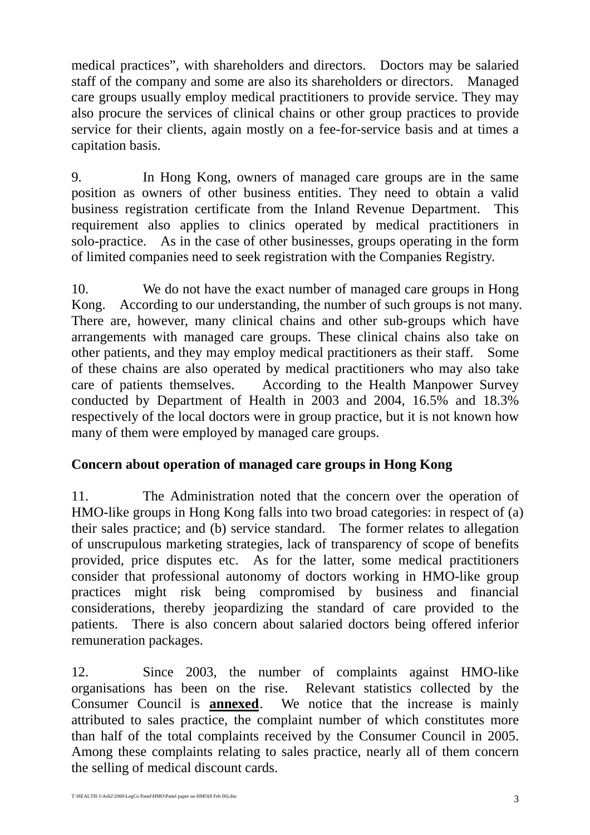medical practices", with shareholders and directors. Doctors may be salaried staff of the company and some are also its shareholders or directors. Managed care groups usually employ medical practitioners to provide service. They may also procure the services of clinical chains or other group practices to provide service for their clients, again mostly on a fee-for-service basis and at times a capitation basis.

9. In Hong Kong, owners of managed care groups are in the same position as owners of other business entities. They need to obtain a valid business registration certificate from the Inland Revenue Department. This requirement also applies to clinics operated by medical practitioners in solo-practice. As in the case of other businesses, groups operating in the form of limited companies need to seek registration with the Companies Registry.

10. We do not have the exact number of managed care groups in Hong Kong. According to our understanding, the number of such groups is not many. There are, however, many clinical chains and other sub-groups which have arrangements with managed care groups. These clinical chains also take on other patients, and they may employ medical practitioners as their staff. Some of these chains are also operated by medical practitioners who may also take care of patients themselves. According to the Health Manpower Survey conducted by Department of Health in 2003 and 2004, 16.5% and 18.3% respectively of the local doctors were in group practice, but it is not known how many of them were employed by managed care groups.

### **Concern about operation of managed care groups in Hong Kong**

11. The Administration noted that the concern over the operation of HMO-like groups in Hong Kong falls into two broad categories: in respect of (a) their sales practice; and (b) service standard. The former relates to allegation of unscrupulous marketing strategies, lack of transparency of scope of benefits provided, price disputes etc. As for the latter, some medical practitioners consider that professional autonomy of doctors working in HMO-like group practices might risk being compromised by business and financial considerations, thereby jeopardizing the standard of care provided to the patients. There is also concern about salaried doctors being offered inferior remuneration packages.

12. Since 2003, the number of complaints against HMO-like organisations has been on the rise. Relevant statistics collected by the Consumer Council is **annexed**. We notice that the increase is mainly attributed to sales practice, the complaint number of which constitutes more than half of the total complaints received by the Consumer Council in 2005. Among these complaints relating to sales practice, nearly all of them concern the selling of medical discount cards.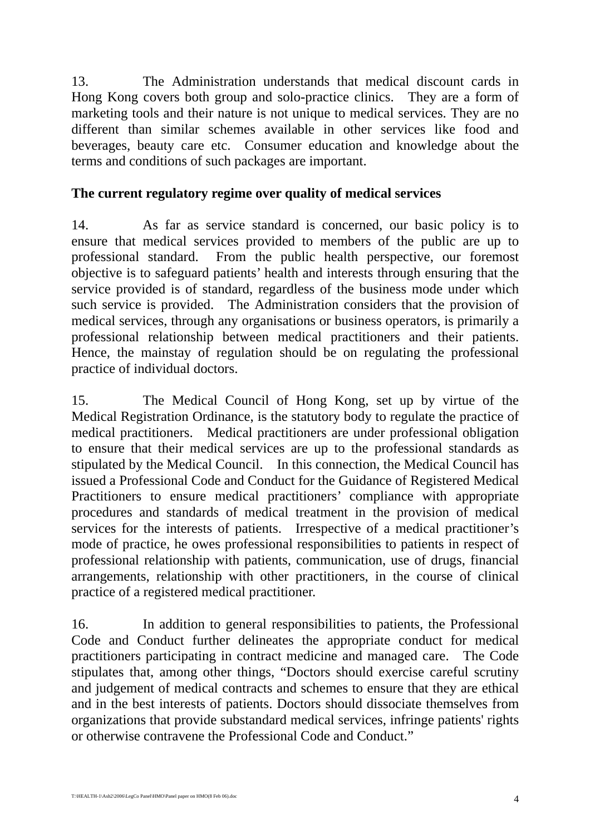13. The Administration understands that medical discount cards in Hong Kong covers both group and solo-practice clinics. They are a form of marketing tools and their nature is not unique to medical services. They are no different than similar schemes available in other services like food and beverages, beauty care etc. Consumer education and knowledge about the terms and conditions of such packages are important.

#### **The current regulatory regime over quality of medical services**

14. As far as service standard is concerned, our basic policy is to ensure that medical services provided to members of the public are up to professional standard. From the public health perspective, our foremost objective is to safeguard patients' health and interests through ensuring that the service provided is of standard, regardless of the business mode under which such service is provided. The Administration considers that the provision of medical services, through any organisations or business operators, is primarily a professional relationship between medical practitioners and their patients. Hence, the mainstay of regulation should be on regulating the professional practice of individual doctors.

15. The Medical Council of Hong Kong, set up by virtue of the Medical Registration Ordinance, is the statutory body to regulate the practice of medical practitioners. Medical practitioners are under professional obligation to ensure that their medical services are up to the professional standards as stipulated by the Medical Council. In this connection, the Medical Council has issued a Professional Code and Conduct for the Guidance of Registered Medical Practitioners to ensure medical practitioners' compliance with appropriate procedures and standards of medical treatment in the provision of medical services for the interests of patients. Irrespective of a medical practitioner's mode of practice, he owes professional responsibilities to patients in respect of professional relationship with patients, communication, use of drugs, financial arrangements, relationship with other practitioners, in the course of clinical practice of a registered medical practitioner.

16. In addition to general responsibilities to patients, the Professional Code and Conduct further delineates the appropriate conduct for medical practitioners participating in contract medicine and managed care. The Code stipulates that, among other things, "Doctors should exercise careful scrutiny and judgement of medical contracts and schemes to ensure that they are ethical and in the best interests of patients. Doctors should dissociate themselves from organizations that provide substandard medical services, infringe patients' rights or otherwise contravene the Professional Code and Conduct."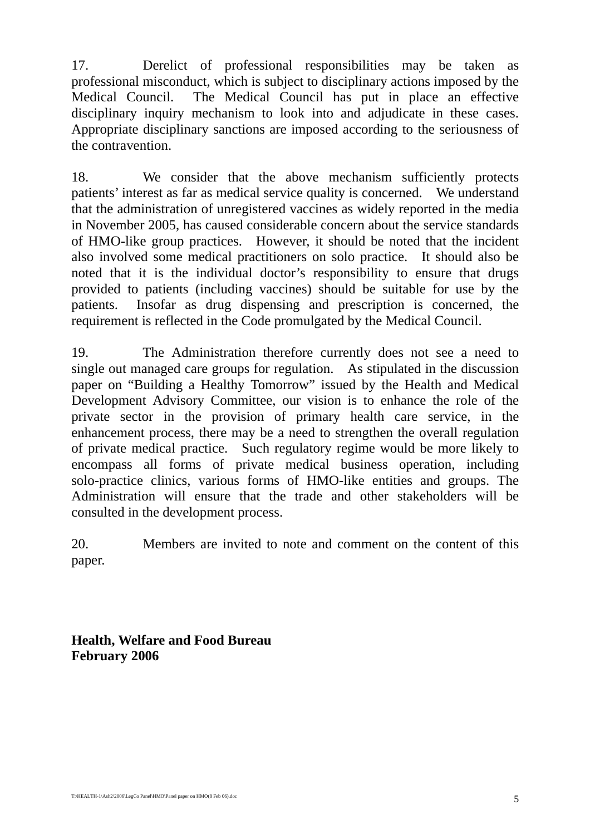17. Derelict of professional responsibilities may be taken as professional misconduct, which is subject to disciplinary actions imposed by the Medical Council. The Medical Council has put in place an effective disciplinary inquiry mechanism to look into and adjudicate in these cases. Appropriate disciplinary sanctions are imposed according to the seriousness of the contravention.

18. We consider that the above mechanism sufficiently protects patients' interest as far as medical service quality is concerned. We understand that the administration of unregistered vaccines as widely reported in the media in November 2005, has caused considerable concern about the service standards of HMO-like group practices. However, it should be noted that the incident also involved some medical practitioners on solo practice. It should also be noted that it is the individual doctor's responsibility to ensure that drugs provided to patients (including vaccines) should be suitable for use by the patients. Insofar as drug dispensing and prescription is concerned, the requirement is reflected in the Code promulgated by the Medical Council.

19. The Administration therefore currently does not see a need to single out managed care groups for regulation. As stipulated in the discussion paper on "Building a Healthy Tomorrow" issued by the Health and Medical Development Advisory Committee, our vision is to enhance the role of the private sector in the provision of primary health care service, in the enhancement process, there may be a need to strengthen the overall regulation of private medical practice. Such regulatory regime would be more likely to encompass all forms of private medical business operation, including solo-practice clinics, various forms of HMO-like entities and groups. The Administration will ensure that the trade and other stakeholders will be consulted in the development process.

20. Members are invited to note and comment on the content of this paper.

**Health, Welfare and Food Bureau February 2006**